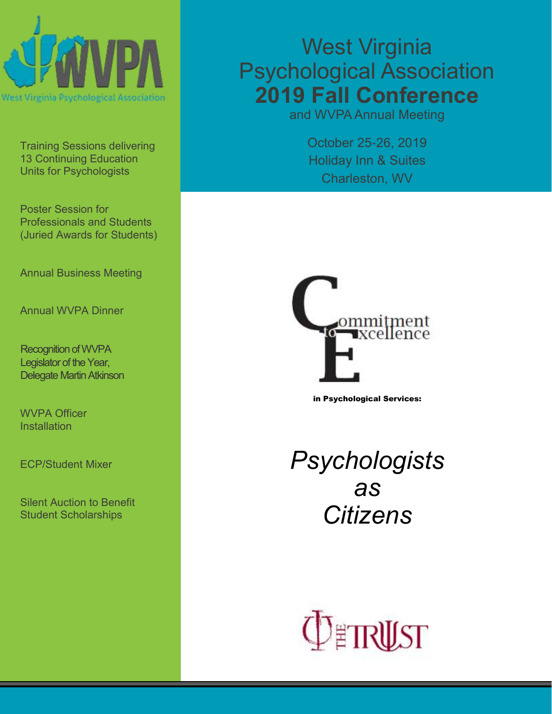

Training Sessions delivering 13 Continuing Education Units for Psychologists

Poster Session for Professionals and Students (Juried Awards for Students)

Annual Business Meeting

Annual WVPA Dinner

Recognition of WVPA Legislator of the Year, Delegate Martin Atkinson

WVPA Officer **Installation** 

ECP/Student Mixer

Silent Auction to Benefit Student Scholarships

# West Virginia Psychological Association **2019 Fall Conference**

and WVPA Annual Meeting

October 25-26, 2019 Holiday Inn & Suites Charleston, WV



in Psychological Services:

*Psychologists as Citizens*

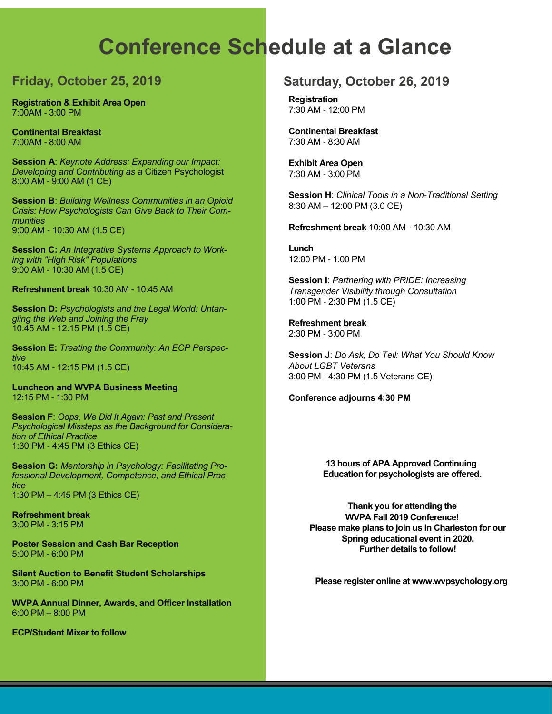# **Conference Schedule at a Glance**

# **Friday, October 25, 2019**

**Registration & Exhibit Area Open** 7:00AM - 3:00 PM

**Continental Breakfast**  7:00AM - 8:00 AM

**Session A**: *Keynote Address: Expanding our Impact: Developing and Contributing as a* Citizen Psychologist 8:00 AM - 9:00 AM (1 CE)

**Session B**: *Building Wellness Communities in an Opioid Crisis: How Psychologists Can Give Back to Their Communities*  9:00 AM - 10:30 AM (1.5 CE)

**Session C:** *An Integrative Systems Approach to Working with "High Risk" Populations*  9:00 AM - 10:30 AM (1.5 CE)

**Refreshment break** 10:30 AM - 10:45 AM

**Session D:** *Psychologists and the Legal World: Untangling the Web and Joining the Fray* 10:45 AM - 12:15 PM (1.5 CE)

**Session E:** *Treating the Community: An ECP Perspective* 10:45 AM - 12:15 PM (1.5 CE)

**Luncheon and WVPA Business Meeting**  12:15 PM - 1:30 PM

**Session F**: *Oops, We Did It Again: Past and Present Psychological Missteps as the Background for Consideration of Ethical Practice*  1:30 PM - 4:45 PM (3 Ethics CE)

**Session G:** *Mentorship in Psychology: Facilitating Professional Development, Competence, and Ethical Practice* 1:30 PM – 4:45 PM (3 Ethics CE)

**Refreshment break**  3:00 PM - 3:15 PM

**Poster Session and Cash Bar Reception** 5:00 PM - 6:00 PM

**Silent Auction to Benefit Student Scholarships**  3:00 PM - 6:00 PM

**WVPA Annual Dinner, Awards, and Officer Installation** 6:00 PM – 8:00 PM

**ECP/Student Mixer to follow**

# **Saturday, October 26, 2019**

**Registration**  7:30 AM - 12:00 PM

**Continental Breakfast**  7:30 AM - 8:30 AM

**Exhibit Area Open**  7:30 AM - 3:00 PM

**Session H**: *Clinical Tools in a Non-Traditional Setting* 8:30 AM – 12:00 PM (3.0 CE)

**Refreshment break** 10:00 AM - 10:30 AM

**Lunch**  12:00 PM - 1:00 PM

**Session I**: *Partnering with PRIDE: Increasing Transgender Visibility through Consultation* 1:00 PM - 2:30 PM (1.5 CE)

**Refreshment break**  2:30 PM - 3:00 PM

**Session J**: *Do Ask, Do Tell: What You Should Know About LGBT Veterans* 3:00 PM - 4:30 PM (1.5 Veterans CE)

**Conference adjourns 4:30 PM** 

**13 hours of APA Approved Continuing Education for psychologists are offered.**

**Thank you for attending the WVPA Fall 2019 Conference! Please make plans to join us in Charleston for our Spring educational event in 2020. Further details to follow!**

**Please register online at www.wvpsychology.org**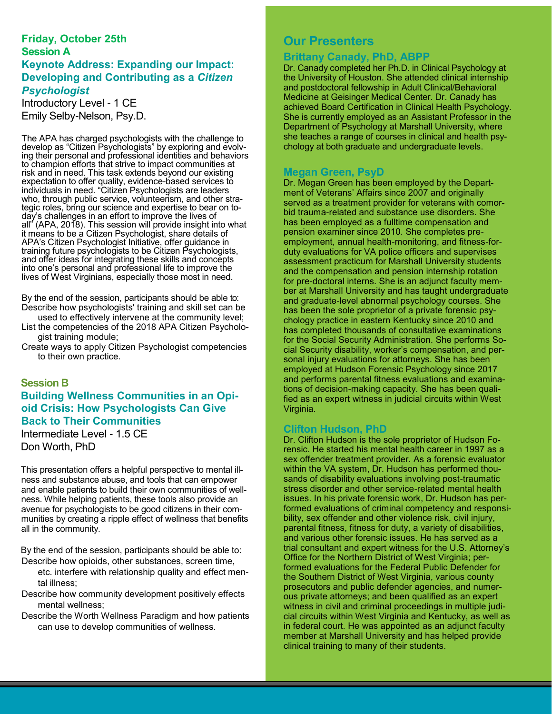### **Friday, October 25th Session A Keynote Address: Expanding our Impact: Developing and Contributing as a** *Citizen Psychologist*

Introductory Level - 1 CE Emily Selby-Nelson, Psy.D.

The APA has charged psychologists with the challenge to develop as "Citizen Psychologists" by exploring and evolving their personal and professional identities and behaviors to champion efforts that strive to impact communities at risk and in need. This task extends beyond our existing expectation to offer quality, evidence-based services to individuals in need. "Citizen Psychologists are leaders who, through public service, volunteerism, and other strategic roles, bring our science and expertise to bear on today's challenges in an effort to improve the lives of all" (APA, 2018). This session will provide insight into what it means to be a Citizen Psychologist, share details of APA's Citizen Psychologist Initiative, offer guidance in training future psychologists to be Citizen Psychologists, and offer ideas for integrating these skills and concepts into one's personal and professional life to improve the lives of West Virginians, especially those most in need.

By the end of the session, participants should be able to: Describe how psychologists' training and skill set can be

used to effectively intervene at the community level; List the competencies of the 2018 APA Citizen Psychologist training module;

Create ways to apply Citizen Psychologist competencies to their own practice.

#### **Session B**

# **Building Wellness Communities in an Opioid Crisis: How Psychologists Can Give Back to Their Communities**

Intermediate Level - 1.5 CE Don Worth, PhD

This presentation offers a helpful perspective to mental illness and substance abuse, and tools that can empower and enable patients to build their own communities of wellness. While helping patients, these tools also provide an avenue for psychologists to be good citizens in their communities by creating a ripple effect of wellness that benefits all in the community.

By the end of the session, participants should be able to: Describe how opioids, other substances, screen time,

etc. interfere with relationship quality and effect mental illness;

Describe how community development positively effects mental wellness;

Describe the Worth Wellness Paradigm and how patients can use to develop communities of wellness.

# **Our Presenters**

### **Brittany Canady, PhD, ABPP**

Dr. Canady completed her Ph.D. in Clinical Psychology at the University of Houston. She attended clinical internship and postdoctoral fellowship in Adult Clinical/Behavioral Medicine at Geisinger Medical Center. Dr. Canady has achieved Board Certification in Clinical Health Psychology. She is currently employed as an Assistant Professor in the Department of Psychology at Marshall University, where she teaches a range of courses in clinical and health psychology at both graduate and undergraduate levels.

## **Megan Green, PsyD**

Dr. Megan Green has been employed by the Department of Veterans' Affairs since 2007 and originally served as a treatment provider for veterans with comorbid trauma-related and substance use disorders. She has been employed as a fulltime compensation and pension examiner since 2010. She completes preemployment, annual health-monitoring, and fitness-forduty evaluations for VA police officers and supervises assessment practicum for Marshall University students and the compensation and pension internship rotation for pre-doctoral interns. She is an adjunct faculty member at Marshall University and has taught undergraduate and graduate-level abnormal psychology courses. She has been the sole proprietor of a private forensic psychology practice in eastern Kentucky since 2010 and has completed thousands of consultative examinations for the Social Security Administration. She performs Social Security disability, worker's compensation, and personal injury evaluations for attorneys. She has been employed at Hudson Forensic Psychology since 2017 and performs parental fitness evaluations and examinations of decision-making capacity. She has been qualified as an expert witness in judicial circuits within West Virginia.

#### **Clifton Hudson, PhD**

Dr. Clifton Hudson is the sole proprietor of Hudson Forensic. He started his mental health career in 1997 as a sex offender treatment provider. As a forensic evaluator within the VA system, Dr. Hudson has performed thousands of disability evaluations involving post-traumatic stress disorder and other service-related mental health issues. In his private forensic work, Dr. Hudson has performed evaluations of criminal competency and responsibility, sex offender and other violence risk, civil injury, parental fitness, fitness for duty, a variety of disabilities, and various other forensic issues. He has served as a trial consultant and expert witness for the U.S. Attorney's Office for the Northern District of West Virginia; performed evaluations for the Federal Public Defender for the Southern District of West Virginia, various county prosecutors and public defender agencies, and numerous private attorneys; and been qualified as an expert witness in civil and criminal proceedings in multiple judicial circuits within West Virginia and Kentucky, as well as in federal court. He was appointed as an adjunct faculty member at Marshall University and has helped provide clinical training to many of their students.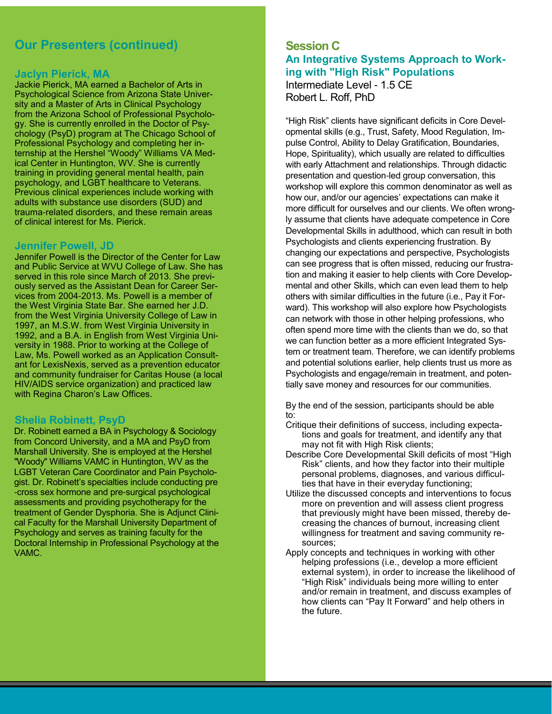# **Our Presenters (continued)**

#### **Jaclyn Pierick, MA**

Jackie Pierick, MA earned a Bachelor of Arts in Psychological Science from Arizona State University and a Master of Arts in Clinical Psychology from the Arizona School of Professional Psychology. She is currently enrolled in the Doctor of Psychology (PsyD) program at The Chicago School of Professional Psychology and completing her internship at the Hershel "Woody" Williams VA Medical Center in Huntington, WV. She is currently training in providing general mental health, pain psychology, and LGBT healthcare to Veterans. Previous clinical experiences include working with adults with substance use disorders (SUD) and trauma-related disorders, and these remain areas of clinical interest for Ms. Pierick.

#### **Jennifer Powell, JD**

Jennifer Powell is the Director of the Center for Law and Public Service at WVU College of Law. She has served in this role since March of 2013. She previously served as the Assistant Dean for Career Services from 2004-2013. Ms. Powell is a member of the West Virginia State Bar. She earned her J.D. from the West Virginia University College of Law in 1997, an M.S.W. from West Virginia University in 1992, and a B.A. in English from West Virginia University in 1988. Prior to working at the College of Law, Ms. Powell worked as an Application Consultant for LexisNexis, served as a prevention educator and community fundraiser for Caritas House (a local HIV/AIDS service organization) and practiced law with Regina Charon's Law Offices.

#### **Shelia Robinett, PsyD**

Dr. Robinett earned a BA in Psychology & Sociology from Concord University, and a MA and PsyD from Marshall University. She is employed at the Hershel "Woody" Williams VAMC in Huntington, WV as the LGBT Veteran Care Coordinator and Pain Psychologist. Dr. Robinett's specialties include conducting pre -cross sex hormone and pre-surgical psychological assessments and providing psychotherapy for the treatment of Gender Dysphoria. She is Adjunct Clinical Faculty for the Marshall University Department of Psychology and serves as training faculty for the Doctoral Internship in Professional Psychology at the VAMC.

## **Session C An Integrative Systems Approach to Working with "High Risk" Populations** Intermediate Level - 1.5 CE Robert L. Roff, PhD

"High Risk" clients have significant deficits in Core Developmental skills (e.g., Trust, Safety, Mood Regulation, Impulse Control, Ability to Delay Gratification, Boundaries, Hope, Spirituality), which usually are related to difficulties with early Attachment and relationships. Through didactic presentation and question-led group conversation, this workshop will explore this common denominator as well as how our, and/or our agencies' expectations can make it more difficult for ourselves and our clients. We often wrongly assume that clients have adequate competence in Core Developmental Skills in adulthood, which can result in both Psychologists and clients experiencing frustration. By changing our expectations and perspective, Psychologists can see progress that is often missed, reducing our frustration and making it easier to help clients with Core Developmental and other Skills, which can even lead them to help others with similar difficulties in the future (i.e., Pay it Forward). This workshop will also explore how Psychologists can network with those in other helping professions, who often spend more time with the clients than we do, so that we can function better as a more efficient Integrated System or treatment team. Therefore, we can identify problems and potential solutions earlier, help clients trust us more as Psychologists and engage/remain in treatment, and potentially save money and resources for our communities.

By the end of the session, participants should be able to:

- Critique their definitions of success, including expectations and goals for treatment, and identify any that may not fit with High Risk clients;
- Describe Core Developmental Skill deficits of most "High Risk" clients, and how they factor into their multiple personal problems, diagnoses, and various difficulties that have in their everyday functioning;
- Utilize the discussed concepts and interventions to focus more on prevention and will assess client progress that previously might have been missed, thereby decreasing the chances of burnout, increasing client willingness for treatment and saving community resources;
- Apply concepts and techniques in working with other helping professions (i.e., develop a more efficient external system), in order to increase the likelihood of "High Risk" individuals being more willing to enter and/or remain in treatment, and discuss examples of how clients can "Pay It Forward" and help others in the future.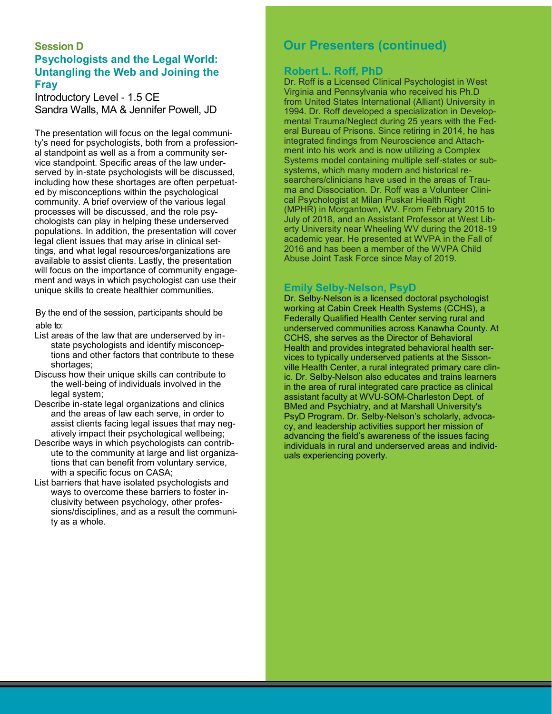## **Session D Psychologists and the Legal World: Untangling the Web and Joining the Fray**

Introductory Level - 1.5 CE Sandra Walls, MA & Jennifer Powell, JD

The presentation will focus on the legal community's need for psychologists, both from a professional standpoint as well as a from a community service standpoint. Specific areas of the law underserved by in-state psychologists will be discussed, including how these shortages are often perpetuated by misconceptions within the psychological community. A brief overview of the various legal processes will be discussed, and the role psychologists can play in helping these underserved populations. In addition, the presentation will cover legal client issues that may arise in clinical settings, and what legal resources/organizations are available to assist clients. Lastly, the presentation will focus on the importance of community engagement and ways in which psychologist can use their unique skills to create healthier communities.

By the end of the session, participants should be able to:

- List areas of the law that are underserved by instate psychologists and identify misconceptions and other factors that contribute to these shortages;
- Discuss how their unique skills can contribute to the well-being of individuals involved in the legal system;
- Describe in-state legal organizations and clinics and the areas of law each serve, in order to assist clients facing legal issues that may negatively impact their psychological wellbeing;
- Describe ways in which psychologists can contribute to the community at large and list organizations that can benefit from voluntary service, with a specific focus on CASA;
- List barriers that have isolated psychologists and ways to overcome these barriers to foster inclusivity between psychology, other professions/disciplines, and as a result the community as a whole.

# **Our Presenters (continued)**

#### **Robert L. Roff, PhD**

Dr. Roff is a Licensed Clinical Psychologist in West Virginia and Pennsylvania who received his Ph.D from United States International (Alliant) University in 1994. Dr. Roff developed a specialization in Developmental Trauma/Neglect during 25 years with the Federal Bureau of Prisons. Since retiring in 2014, he has integrated findings from Neuroscience and Attachment into his work and is now utilizing a Complex Systems model containing multiple self-states or subsystems, which many modern and historical researchers/clinicians have used in the areas of Trauma and Dissociation. Dr. Roff was a Volunteer Clinical Psychologist at Milan Puskar Health Right (MPHR) in Morgantown, WV. From February 2015 to July of 2018, and an Assistant Professor at West Liberty University near Wheeling WV during the 2018-19 academic year. He presented at WVPA in the Fall of 2016 and has been a member of the WVPA Child Abuse Joint Task Force since May of 2019.

#### **Emily Selby-Nelson, PsyD**

Dr. Selby-Nelson is a licensed doctoral psychologist working at Cabin Creek Health Systems (CCHS), a Federally Qualified Health Center serving rural and underserved communities across Kanawha County. At CCHS, she serves as the Director of Behavioral Health and provides integrated behavioral health services to typically underserved patients at the Sissonville Health Center, a rural integrated primary care clinic. Dr. Selby-Nelson also educates and trains learners in the area of rural integrated care practice as clinical assistant faculty at WVU-SOM-Charleston Dept. of BMed and Psychiatry, and at Marshall University's PsyD Program. Dr. Selby-Nelson's scholarly, advocacy, and leadership activities support her mission of advancing the field's awareness of the issues facing individuals in rural and underserved areas and individuals experiencing poverty.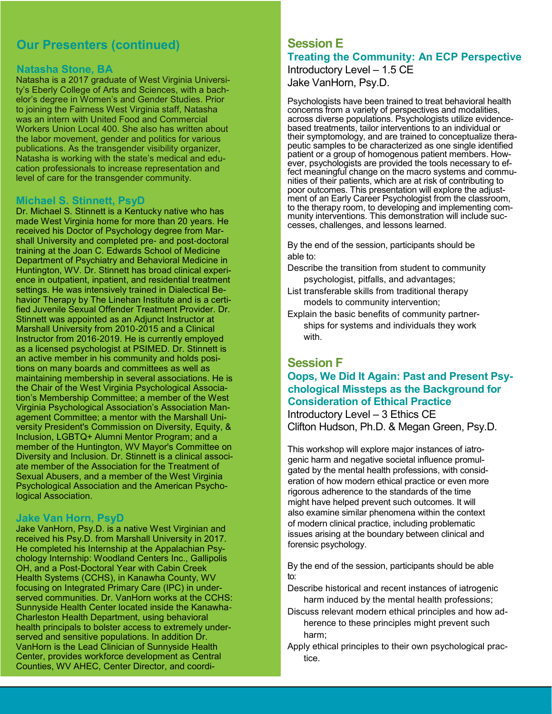# **Our Presenters (continued)**

#### **Natasha Stone, BA**

Natasha is a 2017 graduate of West Virginia University's Eberly College of Arts and Sciences, with a bachelor's degree in Women's and Gender Studies. Prior to joining the Fairness West Virginia staff, Natasha was an intern with United Food and Commercial Workers Union Local 400. She also has written about the labor movement, gender and politics for various publications. As the transgender visibility organizer, Natasha is working with the state's medical and education professionals to increase representation and level of care for the transgender community.

#### **Michael S. Stinnett, PsyD**

Dr. Michael S. Stinnett is a Kentucky native who has made West Virginia home for more than 20 years. He received his Doctor of Psychology degree from Marshall University and completed pre- and post-doctoral training at the Joan C. Edwards School of Medicine Department of Psychiatry and Behavioral Medicine in Huntington, WV. Dr. Stinnett has broad clinical experience in outpatient, inpatient, and residential treatment settings. He was intensively trained in Dialectical Behavior Therapy by The Linehan Institute and is a certified Juvenile Sexual Offender Treatment Provider. Dr. Stinnett was appointed as an Adjunct Instructor at Marshall University from 2010-2015 and a Clinical Instructor from 2016-2019. He is currently employed as a licensed psychologist at PSIMED. Dr. Stinnett is an active member in his community and holds positions on many boards and committees as well as maintaining membership in several associations. He is the Chair of the West Virginia Psychological Association's Membership Committee; a member of the West Virginia Psychological Association's Association Management Committee; a mentor with the Marshall University President's Commission on Diversity, Equity, & Inclusion, LGBTQ+ Alumni Mentor Program; and a member of the Huntington, WV Mayor's Committee on Diversity and Inclusion. Dr. Stinnett is a clinical associate member of the Association for the Treatment of Sexual Abusers, and a member of the West Virginia Psychological Association and the American Psychological Association.

#### **Jake Van Horn, PsyD**

Jake VanHorn, Psy.D. is a native West Virginian and received his Psy.D. from Marshall University in 2017. He completed his Internship at the Appalachian Psychology Internship: Woodland Centers Inc., Gallipolis OH, and a Post-Doctoral Year with Cabin Creek Health Systems (CCHS), in Kanawha County, WV focusing on Integrated Primary Care (IPC) in underserved communities. Dr. VanHorn works at the CCHS: Sunnyside Health Center located inside the Kanawha-Charleston Health Department, using behavioral health principals to bolster access to extremely underserved and sensitive populations. In addition Dr. VanHorn is the Lead Clinician of Sunnyside Health Center, provides workforce development as Central Counties, WV AHEC, Center Director, and coordi-

# **Session E Treating the Community: An ECP Perspective**

Introductory Level – 1.5 CE Jake VanHorn, Psy.D.

Psychologists have been trained to treat behavioral health concerns from a variety of perspectives and modalities, across diverse populations. Psychologists utilize evidencebased treatments, tailor interventions to an individual or their symptomology, and are trained to conceptualize therapeutic samples to be characterized as one single identified patient or a group of homogenous patient members. However, psychologists are provided the tools necessary to effect meaningful change on the macro systems and communities of their patients, which are at risk of contributing to poor outcomes. This presentation will explore the adjustment of an Early Career Psychologist from the classroom, to the therapy room, to developing and implementing community interventions. This demonstration will include successes, challenges, and lessons learned.

By the end of the session, participants should be able to:

- Describe the transition from student to community psychologist, pitfalls, and advantages;
- List transferable skills from traditional therapy models to community intervention;
- Explain the basic benefits of community partnerships for systems and individuals they work with.

## **Session F**

# **Oops, We Did It Again: Past and Present Psychological Missteps as the Background for Consideration of Ethical Practice**  Introductory Level – 3 Ethics CE

Clifton Hudson, Ph.D. & Megan Green, Psy.D.

This workshop will explore major instances of iatrogenic harm and negative societal influence promulgated by the mental health professions, with consideration of how modern ethical practice or even more rigorous adherence to the standards of the time might have helped prevent such outcomes. It will also examine similar phenomena within the context of modern clinical practice, including problematic issues arising at the boundary between clinical and forensic psychology.

By the end of the session, participants should be able to:

Describe historical and recent instances of iatrogenic harm induced by the mental health professions;

- Discuss relevant modern ethical principles and how adherence to these principles might prevent such harm;
- Apply ethical principles to their own psychological practice.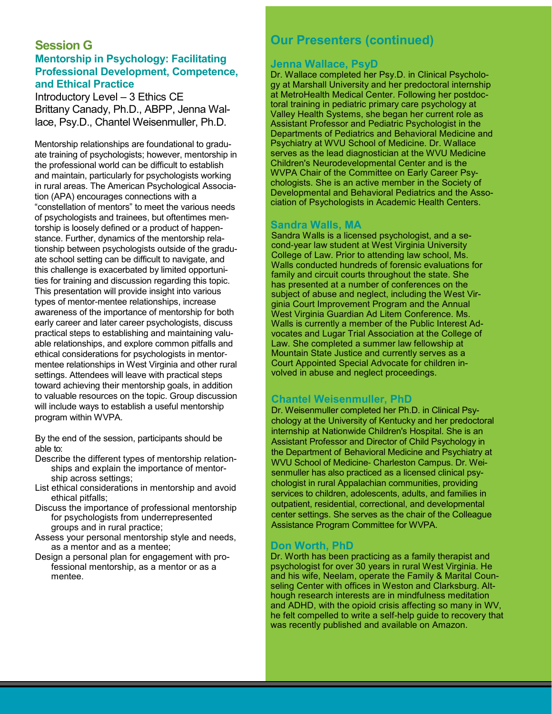## **Session G Mentorship in Psychology: Facilitating Professional Development, Competence, and Ethical Practice**

Introductory Level – 3 Ethics CE Brittany Canady, Ph.D., ABPP, Jenna Wallace, Psy.D., Chantel Weisenmuller, Ph.D.

Mentorship relationships are foundational to graduate training of psychologists; however, mentorship in the professional world can be difficult to establish and maintain, particularly for psychologists working in rural areas. The American Psychological Association (APA) encourages connections with a "constellation of mentors" to meet the various needs of psychologists and trainees, but oftentimes mentorship is loosely defined or a product of happenstance. Further, dynamics of the mentorship relationship between psychologists outside of the graduate school setting can be difficult to navigate, and this challenge is exacerbated by limited opportunities for training and discussion regarding this topic. This presentation will provide insight into various types of mentor-mentee relationships, increase awareness of the importance of mentorship for both early career and later career psychologists, discuss practical steps to establishing and maintaining valuable relationships, and explore common pitfalls and ethical considerations for psychologists in mentormentee relationships in West Virginia and other rural settings. Attendees will leave with practical steps toward achieving their mentorship goals, in addition to valuable resources on the topic. Group discussion will include ways to establish a useful mentorship program within WVPA.

By the end of the session, participants should be able to:

- Describe the different types of mentorship relationships and explain the importance of mentorship across settings;
- List ethical considerations in mentorship and avoid ethical pitfalls;
- Discuss the importance of professional mentorship for psychologists from underrepresented groups and in rural practice;
- Assess your personal mentorship style and needs, as a mentor and as a mentee;
- Design a personal plan for engagement with professional mentorship, as a mentor or as a mentee.

# **Our Presenters (continued)**

#### **Jenna Wallace, PsyD**

Dr. Wallace completed her Psy.D. in Clinical Psychology at Marshall University and her predoctoral internship at MetroHealth Medical Center. Following her postdoctoral training in pediatric primary care psychology at Valley Health Systems, she began her current role as Assistant Professor and Pediatric Psychologist in the Departments of Pediatrics and Behavioral Medicine and Psychiatry at WVU School of Medicine. Dr. Wallace serves as the lead diagnostician at the WVU Medicine Children's Neurodevelopmental Center and is the WVPA Chair of the Committee on Early Career Psychologists. She is an active member in the Society of Developmental and Behavioral Pediatrics and the Association of Psychologists in Academic Health Centers.

#### **Sandra Walls, MA**

Sandra Walls is a licensed psychologist, and a second-year law student at West Virginia University College of Law. Prior to attending law school, Ms. Walls conducted hundreds of forensic evaluations for family and circuit courts throughout the state. She has presented at a number of conferences on the subject of abuse and neglect, including the West Virginia Court Improvement Program and the Annual West Virginia Guardian Ad Litem Conference. Ms. Walls is currently a member of the Public Interest Advocates and Lugar Trial Association at the College of Law. She completed a summer law fellowship at Mountain State Justice and currently serves as a Court Appointed Special Advocate for children involved in abuse and neglect proceedings.

## **Chantel Weisenmuller, PhD**

Dr. Weisenmuller completed her Ph.D. in Clinical Psychology at the University of Kentucky and her predoctoral internship at Nationwide Children's Hospital. She is an Assistant Professor and Director of Child Psychology in the Department of Behavioral Medicine and Psychiatry at WVU School of Medicine- Charleston Campus. Dr. Weisenmuller has also practiced as a licensed clinical psychologist in rural Appalachian communities, providing services to children, adolescents, adults, and families in outpatient, residential, correctional, and developmental center settings. She serves as the chair of the Colleague Assistance Program Committee for WVPA.

#### **Don Worth, PhD**

Dr. Worth has been practicing as a family therapist and psychologist for over 30 years in rural West Virginia. He and his wife, Neelam, operate the Family & Marital Counseling Center with offices in Weston and Clarksburg. Although research interests are in mindfulness meditation and ADHD, with the opioid crisis affecting so many in WV, he felt compelled to write a self-help guide to recovery that was recently published and available on Amazon.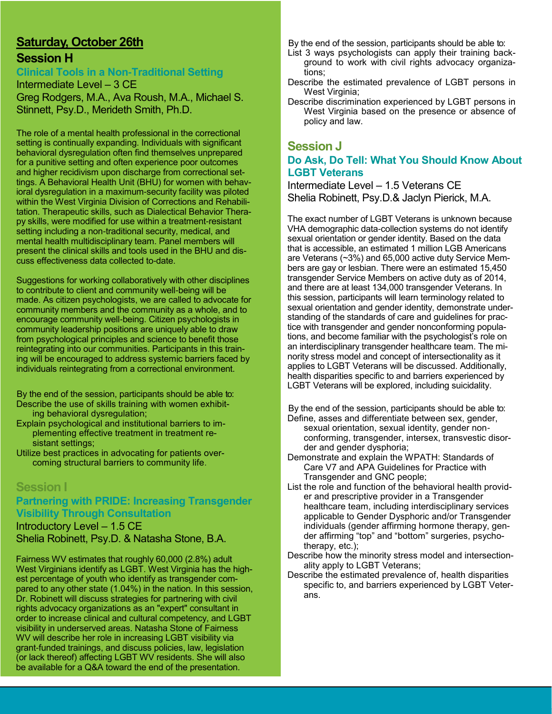# **Saturday, October 26th**

# **Session H**

**Clinical Tools in a Non-Traditional Setting**

Intermediate Level – 3 CE Greg Rodgers, M.A., Ava Roush, M.A., Michael S. Stinnett, Psy.D., Merideth Smith, Ph.D.

The role of a mental health professional in the correctional setting is continually expanding. Individuals with significant behavioral dysregulation often find themselves unprepared for a punitive setting and often experience poor outcomes and higher recidivism upon discharge from correctional settings. A Behavioral Health Unit (BHU) for women with behavioral dysregulation in a maximum-security facility was piloted within the West Virginia Division of Corrections and Rehabilitation. Therapeutic skills, such as Dialectical Behavior Therapy skills, were modified for use within a treatment-resistant setting including a non-traditional security, medical, and mental health multidisciplinary team. Panel members will present the clinical skills and tools used in the BHU and discuss effectiveness data collected to-date.

Suggestions for working collaboratively with other disciplines to contribute to client and community well-being will be made. As citizen psychologists, we are called to advocate for community members and the community as a whole, and to encourage community well-being. Citizen psychologists in community leadership positions are uniquely able to draw from psychological principles and science to benefit those reintegrating into our communities. Participants in this training will be encouraged to address systemic barriers faced by individuals reintegrating from a correctional environment.

By the end of the session, participants should be able to: Describe the use of skills training with women exhibit-

ing behavioral dysregulation;

- Explain psychological and institutional barriers to implementing effective treatment in treatment resistant settings;
- Utilize best practices in advocating for patients overcoming structural barriers to community life.

## **Session I Partnering with PRIDE: Increasing Transgender Visibility Through Consultation**

Introductory Level – 1.5 CE Shelia Robinett, Psy.D. & Natasha Stone, B.A.

Fairness WV estimates that roughly 60,000 (2.8%) adult West Virginians identify as LGBT. West Virginia has the highest percentage of youth who identify as transgender compared to any other state (1.04%) in the nation. In this session, Dr. Robinett will discuss strategies for partnering with civil rights advocacy organizations as an "expert" consultant in order to increase clinical and cultural competency, and LGBT visibility in underserved areas. Natasha Stone of Fairness WV will describe her role in increasing LGBT visibility via grant-funded trainings, and discuss policies, law, legislation (or lack thereof) affecting LGBT WV residents. She will also be available for a Q&A toward the end of the presentation.

By the end of the session, participants should be able to:

- List 3 ways psychologists can apply their training background to work with civil rights advocacy organizations;
- Describe the estimated prevalence of LGBT persons in West Virginia;
- Describe discrimination experienced by LGBT persons in West Virginia based on the presence or absence of policy and law.

## **Session J Do Ask, Do Tell: What You Should Know About LGBT Veterans**

Intermediate Level – 1.5 Veterans CE Shelia Robinett, Psy.D.& Jaclyn Pierick, M.A.

The exact number of LGBT Veterans is unknown because VHA demographic data-collection systems do not identify sexual orientation or gender identity. Based on the data that is accessible, an estimated 1 million LGB Americans are Veterans (~3%) and 65,000 active duty Service Members are gay or lesbian. There were an estimated 15,450 transgender Service Members on active duty as of 2014, and there are at least 134,000 transgender Veterans. In this session, participants will learn terminology related to sexual orientation and gender identity, demonstrate understanding of the standards of care and guidelines for practice with transgender and gender nonconforming populations, and become familiar with the psychologist's role on an interdisciplinary transgender healthcare team. The minority stress model and concept of intersectionality as it applies to LGBT Veterans will be discussed. Additionally, health disparities specific to and barriers experienced by LGBT Veterans will be explored, including suicidality.

By the end of the session, participants should be able to: Define, asses and differentiate between sex, gender,

- sexual orientation, sexual identity, gender nonconforming, transgender, intersex, transvestic disorder and gender dysphoria;
- Demonstrate and explain the WPATH: Standards of Care V7 and APA Guidelines for Practice with Transgender and GNC people;
- List the role and function of the behavioral health provider and prescriptive provider in a Transgender healthcare team, including interdisciplinary services applicable to Gender Dysphoric and/or Transgender individuals (gender affirming hormone therapy, gender affirming "top" and "bottom" surgeries, psychotherapy, etc.);
- Describe how the minority stress model and intersectionality apply to LGBT Veterans;
- Describe the estimated prevalence of, health disparities specific to, and barriers experienced by LGBT Veterans.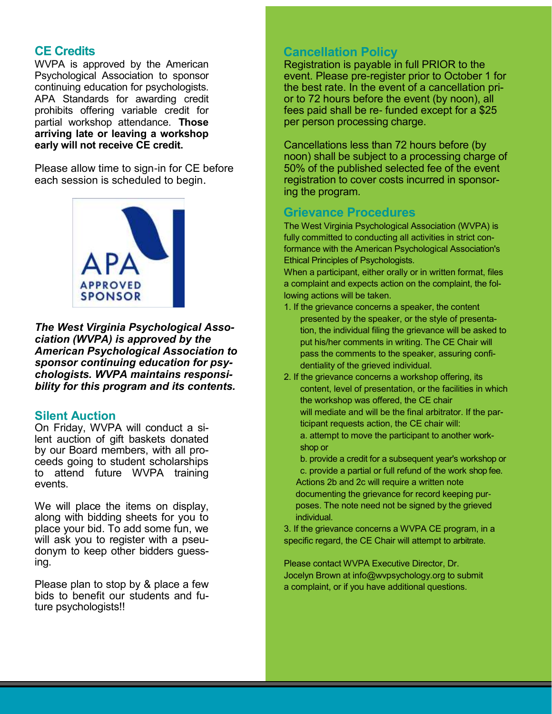# **CE Credits**

WVPA is approved by the American Psychological Association to sponsor continuing education for psychologists. APA Standards for awarding credit prohibits offering variable credit for partial workshop attendance. **Those arriving late or leaving a workshop early will not receive CE credit.**

Please allow time to sign-in for CE before each session is scheduled to begin.



*The West Virginia Psychological Association (WVPA) is approved by the American Psychological Association to sponsor continuing education for psychologists. WVPA maintains responsibility for this program and its contents.*

## **Silent Auction**

On Friday, WVPA will conduct a silent auction of gift baskets donated by our Board members, with all proceeds going to student scholarships to attend future WVPA training events.

We will place the items on display, along with bidding sheets for you to place your bid. To add some fun, we will ask you to register with a pseudonym to keep other bidders guessing.

Please plan to stop by & place a few bids to benefit our students and future psychologists!!

# **Cancellation Policy**

Registration is payable in full PRIOR to the event. Please pre-register prior to October 1 for the best rate. In the event of a cancellation prior to 72 hours before the event (by noon), all fees paid shall be re- funded except for a \$25 per person processing charge.

Cancellations less than 72 hours before (by noon) shall be subject to a processing charge of 50% of the published selected fee of the event registration to cover costs incurred in sponsoring the program.

# **Grievance Procedures**

The West Virginia Psychological Association (WVPA) is fully committed to conducting all activities in strict conformance with the American Psychological Association's Ethical Principles of Psychologists.

When a participant, either orally or in written format, files a complaint and expects action on the complaint, the following actions will be taken.

- 1. If the grievance concerns a speaker, the content presented by the speaker, or the style of presentation, the individual filing the grievance will be asked to put his/her comments in writing. The CE Chair will pass the comments to the speaker, assuring confidentiality of the grieved individual.
- 2. If the grievance concerns a workshop offering, its content, level of presentation, or the facilities in which the workshop was offered, the CE chair will mediate and will be the final arbitrator. If the participant requests action, the CE chair will: a. attempt to move the participant to another workshop or
	- b. provide a credit for a subsequent year's workshop or
	- c. provide a partial or full refund of the work shop fee. Actions 2b and 2c will require a written note documenting the grievance for record keeping purposes. The note need not be signed by the grieved individual.

3. If the grievance concerns a WVPA CE program, in a specific regard, the CE Chair will attempt to arbitrate.

Please contact WVPA Executive Director, Dr. Jocelyn Brown at info@wvpsychology.org to submit a complaint, or if you have additional questions.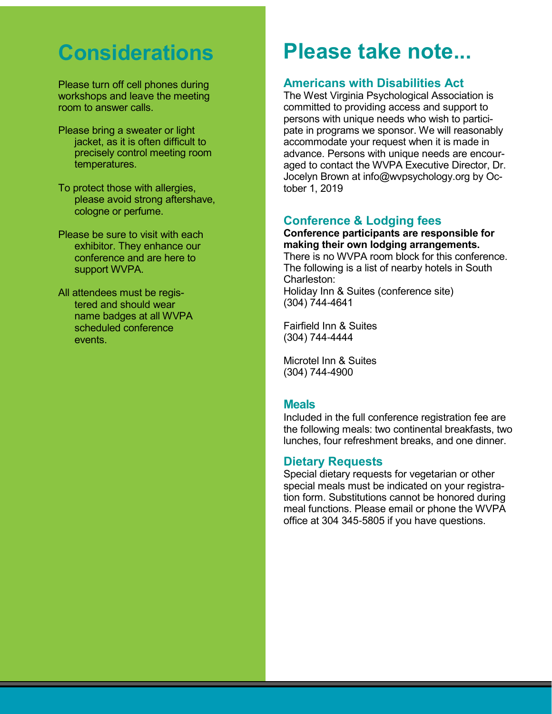# **Considerations**

Please turn off cell phones during workshops and leave the meeting room to answer calls.

- Please bring a sweater or light jacket, as it is often difficult to precisely control meeting room temperatures.
- To protect those with allergies, please avoid strong aftershave, cologne or perfume.
- Please be sure to visit with each exhibitor. They enhance our conference and are here to support WVPA.
- All attendees must be registered and should wear name badges at all WVPA scheduled conference events.

# **Please take note...**

# **Americans with Disabilities Act**

The West Virginia Psychological Association is committed to providing access and support to persons with unique needs who wish to participate in programs we sponsor. We will reasonably accommodate your request when it is made in advance. Persons with unique needs are encouraged to contact the WVPA Executive Director, Dr. Jocelyn Brown at info@wvpsychology.org by October 1, 2019

# **Conference & Lodging fees**

#### **Conference participants are responsible for making their own lodging arrangements.**

There is no WVPA room block for this conference. The following is a list of nearby hotels in South Charleston: Holiday Inn & Suites (conference site) (304) 744-4641

Fairfield Inn & Suites (304) 744-4444

Microtel Inn & Suites (304) 744-4900

## **Meals**

Included in the full conference registration fee are the following meals: two continental breakfasts, two lunches, four refreshment breaks, and one dinner.

# **Dietary Requests**

Special dietary requests for vegetarian or other special meals must be indicated on your registration form. Substitutions cannot be honored during meal functions. Please email or phone the WVPA office at 304 345-5805 if you have questions.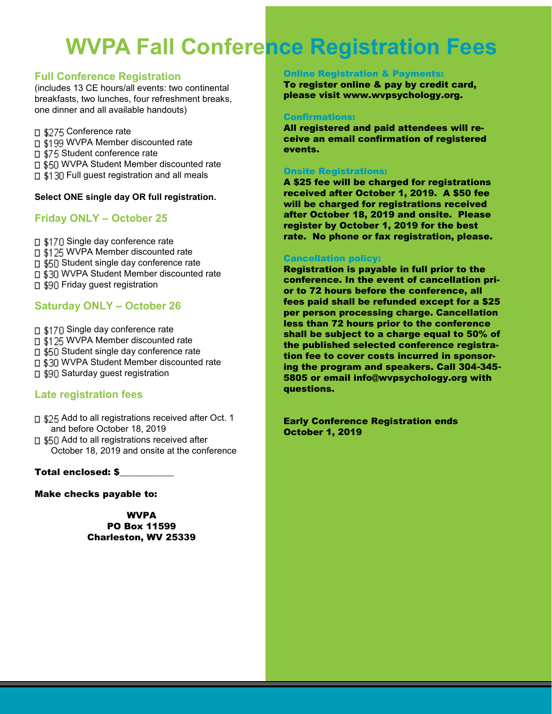# **WVPA Fall Conference Registration Fees**

### **Full Conference Registration**

(includes 13 CE hours/all events: two continental breakfasts, two lunches, four refreshment breaks, one dinner and all available handouts)

□ \$275 Conference rate □ \$199 WVPA Member discounted rate □ \$75 Student conference rate □ \$50 WVPA Student Member discounted rate □ \$130 Full guest registration and all meals

#### **Select ONE single day OR full registration.**

## **Friday ONLY – October 25**

□ \$170 Single day conference rate □ \$125 WVPA Member discounted rate □ \$50 Student single day conference rate **n \$30 WVPA Student Member discounted rate** □ \$90 Friday guest registration

## **Saturday ONLY – October 26**

□ \$170 Single day conference rate

- □ \$125 WVPA Member discounted rate
- □ \$50 Student single day conference rate
- □ \$30 WVPA Student Member discounted rate
- ⊓ \$90 Saturday guest registration

# **Late registration fees**

- □ \$25 Add to all registrations received after Oct. 1 and before October 18, 2019
- □ \$50 Add to all registrations received after October 18, 2019 and onsite at the conference

#### Total enclosed: \$\_\_\_\_\_\_\_\_\_\_\_\_

Make checks payable to:

WVPA PO Box 11599 Charleston, WV 25339

#### **Online Registration & Payment**

To register online & pay by credit card, please visit www.wvpsychology.org.

#### Confirmations:

All registered and paid attendees will receive an email confirmation of registered events.

#### Onsite Registrations:

A \$25 fee will be charged for registrations received after October 1, 2019. A \$50 fee will be charged for registrations received after October 18, 2019 and onsite. Please register by October 1, 2019 for the best rate. No phone or fax registration, please.

#### Cancellation policy:

Registration is payable in full prior to the conference. In the event of cancellation prior to 72 hours before the conference, all fees paid shall be refunded except for a \$25 per person processing charge. Cancellation less than 72 hours prior to the conference shall be subject to a charge equal to 50% of the published selected conference registration fee to cover costs incurred in sponsoring the program and speakers. Call 304-345- 5805 or email info@wvpsychology.org with questions.

Early Conference Registration ends October 1, 2019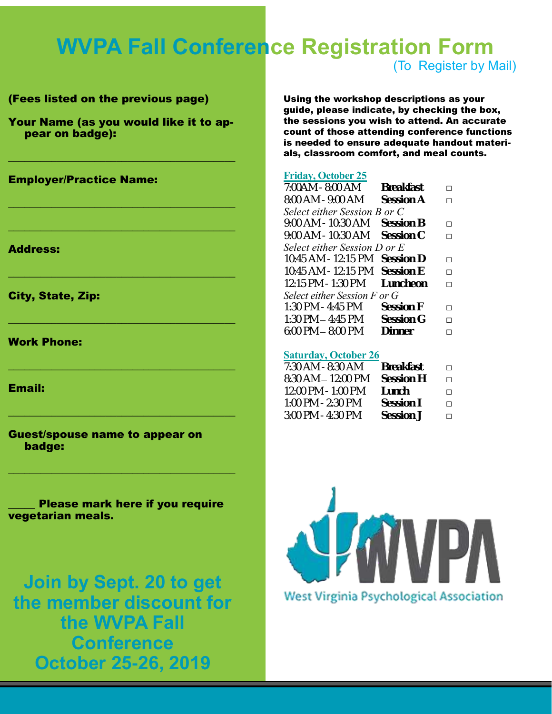# **WVPA Fall Conference Registration Form**

## (Fees listed on the previous page)

Your Name (as you would like it to appear on badge):

 $\mathcal{L}=\{1,2,3,4,5\}$  , where  $\mathcal{L}=\{1,2,3,4,5\}$  , where  $\mathcal{L}=\{1,2,3,4,5\}$ 

 $\mathcal{L}=\{1,2,3,4,5\}$  , where  $\mathcal{L}=\{1,2,3,4,5\}$  , where  $\mathcal{L}=\{1,2,3,4,5\}$ 

 $\mathcal{L}=\{1,2,3,4,5\}$  , where  $\mathcal{L}=\{1,2,3,4,5\}$  , where  $\mathcal{L}=\{1,2,3,4,5\}$ 

 $\mathcal{L}=\{1,2,3,4,5\}$  , where  $\mathcal{L}=\{1,2,3,4,5\}$  , where  $\mathcal{L}=\{1,2,3,4,5\}$ 

 $\mathcal{L}=\{1,2,3,4,5\}$  , where  $\mathcal{L}=\{1,2,3,4,5\}$  , where  $\mathcal{L}=\{1,2,3,4,5\}$ 

 $\mathcal{L}=\{1,2,3,4,5\}$  , where  $\mathcal{L}=\{1,2,3,4,5\}$  , where  $\mathcal{L}=\{1,2,3,4,5\}$ 

 $\mathcal{L}=\{1,2,3,4,5\}$  , where  $\mathcal{L}=\{1,2,3,4,5\}$  , where  $\mathcal{L}=\{1,2,3,4,5\}$ 

 $\mathcal{L}=\{1,2,3,4,5\}$  , where  $\mathcal{L}=\{1,2,3,4,5\}$  , where  $\mathcal{L}=\{1,2,3,4,5\}$ 

### Employer/Practice Name:

#### Address:

City, State, Zip:

#### Work Phone:

#### Email:

Guest/spouse name to appear on badge:

Please mark here if you require vegetarian meals.

**Join by Sept. 20 to get the member discount for the WVPA Fall Conference October 25-26, 2019**

Using the workshop descriptions as your guide, please indicate, by checking the box, the sessions you wish to attend. An accurate count of those attending conference functions is needed to ensure adequate handout materials, classroom comfort, and meal counts.

#### **Friday, October 25**

| 7:00AM - 8:00 AM             | <b>Breakfast</b> |   |  |
|------------------------------|------------------|---|--|
| 8:00 AM - 9:00 AM            | Session A        | п |  |
| Select either Session B or C |                  |   |  |
| 9:00 AM - 10:30 AM           | Session B        | п |  |
| 9:00 AM - 10:30 AM           | Session C        | п |  |
| Select either Session D or E |                  |   |  |
| 10:45 AM - 12:15 PM          | Session D        | п |  |
| 10:45 AM - 12:15 PM          | Session E        | п |  |
| 12:15 PM - 1:30 PM           | Luncheon         | п |  |
| Select either Session F or G |                  |   |  |
| 1:30 PM - 4:45 PM            | Session F        | п |  |
| $1:30$ PM $-4:45$ PM         | Session G        | п |  |
| $6:00$ PM $-8:00$ PM         | Dinner           | п |  |
|                              |                  |   |  |

### **Saturday, October 26**

| 7:30 AM - 8:30 AM     | <b>Breakfast</b> | П |
|-----------------------|------------------|---|
| $8:30$ AM $-12:00$ PM | Session H        | П |
| 12:00 PM - 1:00 PM    | Lunch            | П |
| 1:00 PM - 2:30 PM     | Session I        | П |
| 3:00 PM - 4:30 PM     | Session J        | П |
|                       |                  |   |